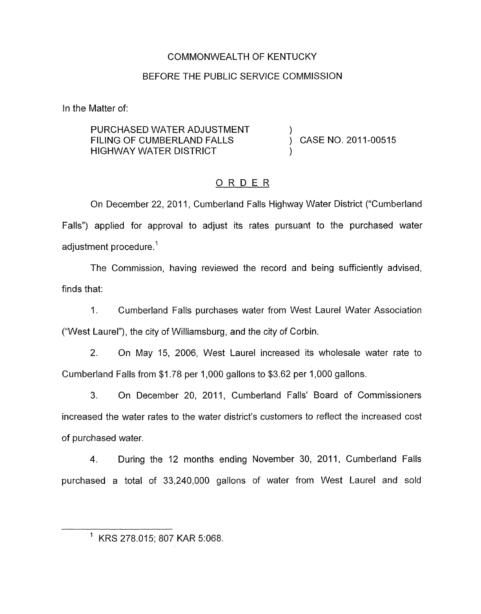### COMMONWEALTH OF KENTUCKY

#### BEFORE THE PUBLIC SERVICE COMMISSION

In the Matter of:

PURCHASED WATER ADJUSTMENT ) **HIGHWAY WATER DISTRICT** FILING OF CUMBERLAND FALLS  $\overrightarrow{)}$  CASE NO. 2011-00515

#### ORDER

On December 22, 2011, Cumberland Falls Highway Water District ("Cumberland Falls") applied for approval to adjust its rates pursuant to the purchased water adjustment procedure.'

The Commission, having reviewed the record and being sufficiently advised, finds that:

1. Cumberland Falls purchases water from West Laurel Water Association ("West Laurel"), the city of Williamsburg, and the city of Corbin.

2. **On** May 15, 2006, West Laurel increased its wholesale water rate to Cumberland Falls from \$1.78 per 1,000 gallons to \$3.62 per 1,000 gallons.

3. On December 20, 2011, Cumberland Falls' Board of Commissioners increased the water rates to the water district's customers to reflect the increased cost of purchased water.

4. During the 12 months ending November 30, 2011, Cumberland Falls purchased a total of 33,240,000 gallons of water from West Laurel and sold

 $1$  KRS 278.015; 807 KAR 5:068.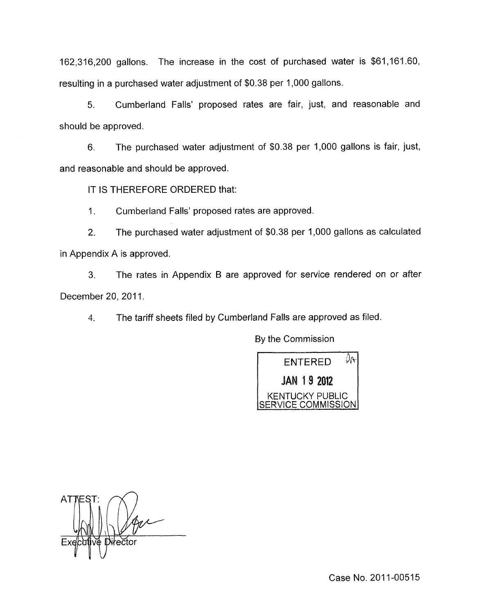162,316,200 gallons. The increase in the cost of purchased water is \$61,161.60, resulting in a purchased water adjustment of \$0.38 per 1,000 gallons.

5. Cumberland Falls' proposed rates are fair, just, and reasonable and should be approved.

6. The purchased water adjustment of \$0.38 per 1,000 gallons is fair, just, and reasonable and should be approved.

IT IS THEREFORE ORDERED that:

I. Cumberland Falls' proposed rates are approved.

2. The purchased water adjustment of \$0.38 per 1,000 gallons as calculated in Appendix A is approved.

3. The rates in Appendix B are approved for service rendered on or after December 20, 2011.

4. The tariff sheets filed by Cumberland Falls are approved as filed.

By the Commission



**ATTES** Diłečto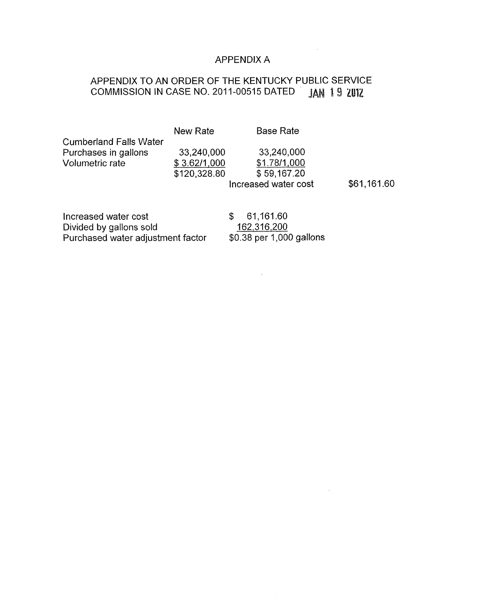# APPENDIX A

 $\sim 10^{11}$ 

 $\mathcal{L}^{\text{max}}_{\text{max}}$  ,  $\mathcal{L}^{\text{max}}_{\text{max}}$ 

# APPENDIX TO AN ORDER OF THE KENTUCKY PUBLIC SERVICE COMMISSION IN CASE NO. 2011-00515 DATED JAN 19 2012

|                                                                                      | <b>New Rate</b>                            | <b>Base Rate</b>                                                  |             |
|--------------------------------------------------------------------------------------|--------------------------------------------|-------------------------------------------------------------------|-------------|
| <b>Cumberland Falls Water</b><br>Purchases in gallons<br><b>Volumetric rate</b>      | 33,240,000<br>\$3.62/1,000<br>\$120,328.80 | 33,240,000<br>\$1.78/1,000<br>\$59,167.20<br>Increased water cost | \$61,161.60 |
| Increased water cost<br>Divided by gallons sold<br>Purchased water adjustment factor |                                            | 61,161.60<br>S<br>162,316,200<br>\$0.38 per 1,000 gallons         |             |

 $\label{eq:2.1} \frac{1}{2} \sum_{i=1}^n \frac{1}{2} \sum_{j=1}^n \frac{1}{2} \sum_{j=1}^n \frac{1}{2} \sum_{j=1}^n \frac{1}{2} \sum_{j=1}^n \frac{1}{2} \sum_{j=1}^n \frac{1}{2} \sum_{j=1}^n \frac{1}{2} \sum_{j=1}^n \frac{1}{2} \sum_{j=1}^n \frac{1}{2} \sum_{j=1}^n \frac{1}{2} \sum_{j=1}^n \frac{1}{2} \sum_{j=1}^n \frac{1}{2} \sum_{j=1}^n \frac{$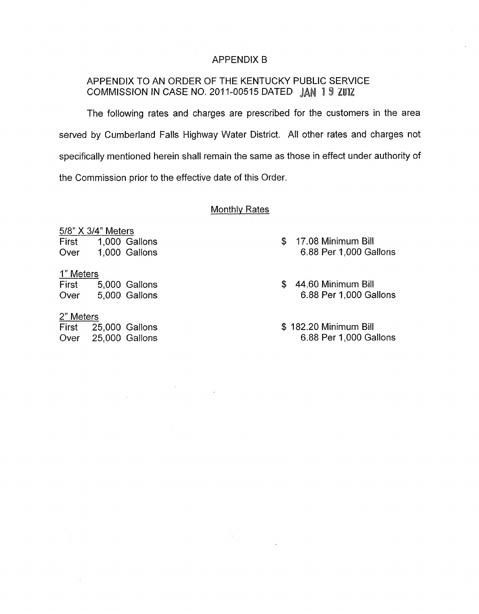#### APPENDIX B

## APPENDIX TO AN ORDER OF THE KENTUCKY PUBLIC SERVICE COMMISSION IN CASE NO. 2011-00515 DATED JAN 19 **ZUIZ**

The following rates and charges are prescribed for the customers in the area served by Cumberland Falls Highway Water District. All other rates and charges not specifically mentioned herein shall remain the same as those in effect under authority of the Commission prior to the effective date of this Order

#### Monthlv Rates

5/8" X 3/4" Meters

First 1,000 Gallons Over 1,000 Gallons 9/8" X 3/4" Met<br>
First 1,000<br>
Over 1,000<br>
1" Meters<br>
First 5,000

#### 1" Meters

First 5,000 Gallons Over 5,000 Gallons

#### 2" Meters

First 25,000 Gallons Over 25,000 Gallons

 $\sim$   $\mu$ 

- \$ 17.08 Minimum Bill 6.88 Per 1,000 Gallons
- \$ 44.60 Minimum Bill 6.88 Per 1,000 Gallons
- \$ 182.20 Minimum Bill 6.88 Per 1,000 Gallons